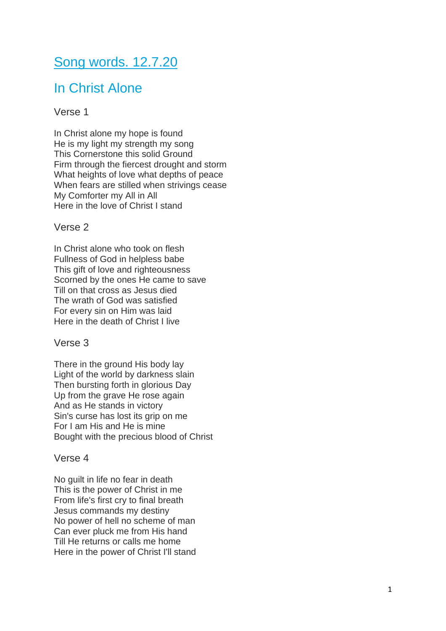# Song words. 12.7.20

# In Christ Alone

## Verse 1

In Christ alone my hope is found He is my light my strength my song This Cornerstone this solid Ground Firm through the fiercest drought and storm What heights of love what depths of peace When fears are stilled when strivings cease My Comforter my All in All Here in the love of Christ I stand

### Verse 2

In Christ alone who took on flesh Fullness of God in helpless babe This gift of love and righteousness Scorned by the ones He came to save Till on that cross as Jesus died The wrath of God was satisfied For every sin on Him was laid Here in the death of Christ I live

### Verse 3

There in the ground His body lay Light of the world by darkness slain Then bursting forth in glorious Day Up from the grave He rose again And as He stands in victory Sin's curse has lost its grip on me For I am His and He is mine Bought with the precious blood of Christ

### Verse 4

No guilt in life no fear in death This is the power of Christ in me From life's first cry to final breath Jesus commands my destiny No power of hell no scheme of man Can ever pluck me from His hand Till He returns or calls me home Here in the power of Christ I'll stand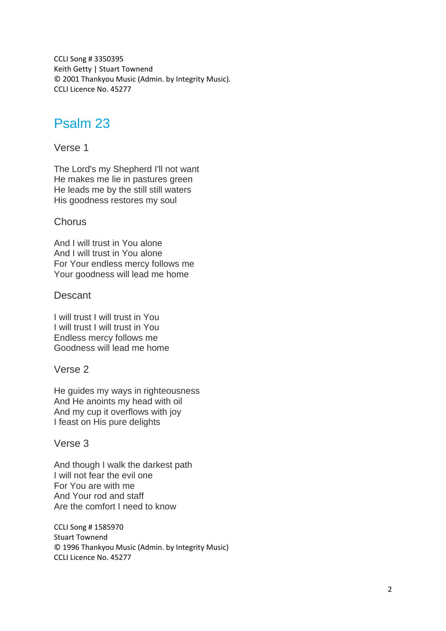CCLI Song # 3350395 Keith Getty | Stuart Townend © 2001 Thankyou Music (Admin. by Integrity Music)*.*  CCLI Licence No. 45277

# Psalm 23

### Verse 1

The Lord's my Shepherd I'll not want He makes me lie in pastures green He leads me by the still still waters His goodness restores my soul

#### **Chorus**

And I will trust in You alone And I will trust in You alone For Your endless mercy follows me Your goodness will lead me home

#### **Descant**

I will trust I will trust in You I will trust I will trust in You Endless mercy follows me Goodness will lead me home

#### Verse 2

He guides my ways in righteousness And He anoints my head with oil And my cup it overflows with joy I feast on His pure delights

#### Verse 3

And though I walk the darkest path I will not fear the evil one For You are with me And Your rod and staff Are the comfort I need to know

CCLI Song # 1585970 Stuart Townend © 1996 Thankyou Music (Admin. by Integrity Music) CCLI Licence No. 45277